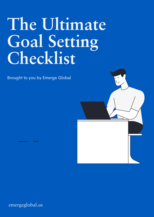# **The Ultimate Goal Setting Checklist**

Brought to you by Emerge Global



emergeglobal.us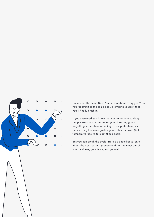

Do you set the same New Year's resolutions every year? Do you recommit to the same goal, promising yourself that you'll finally finish it?

If you answered yes, know that you're not alone. Many people are stuck in the same cycle of setting goals, forgetting about them or failing to complete them, and then setting the same goals again with a renewed (but temporary) resolve to meet those goals.

But you can break the cycle. Here's a checklist to learn about the goal-setting process and get the most out of your business, your team, and yourself.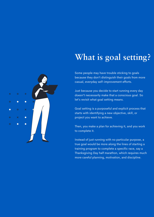### **What is goal setting?**

Some people may have trouble sticking to goals because they don't distinguish their goals from more casual, everyday self-improvement efforts.

Just because you decide to start running every day doesn't necessarily make that a conscious goal. So let's revisit what goal setting means.

Goal setting is a purposeful and explicit process that starts with identifying a new objective, skill, or project you want to achieve.

Then, you make a plan for achieving it, and you work to complete it.

Instead of just running with no particular purpose, a true goal would be more along the lines of starting a training program to complete a specific race, say a Thanksgiving Day half marathon, which requires much more careful planning, motivation, and discipline.

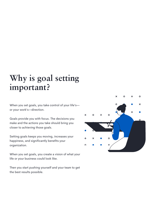### **Why is goal setting important?**

When you set goals, you take control of your life's or your work's—direction.

Goals provide you with focus. The decisions you make and the actions you take should bring you closer to achieving those goals.

Setting goals keeps you moving, increases your happiness, and significantly benefits your organization.

When you set goals, you create a vision of what your life or your business could look like.

Then you start pushing yourself and your team to get the best results possible.

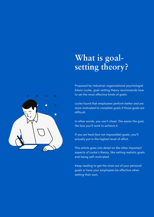### **What is goalsetting theory?**

Proposed by industrial-organizational psychologist Edwin Locke, goal-setting theory recommends how to set the most effective kinds of goals.

Locke found that employees perform better and are more motivated to complete goals if those goals are difficult.

In other words, you can't cheat. The easier the goal, the less you'll work to achieve it.

If you set hard (but not impossible) goals, you'll actually put in the highest level of effort.

This article goes into detail on the other important aspects of Locke's theory, like setting realistic goals and being self-motivated.

Keep reading to get the most out of your personal goals or have your employees be effective when setting their own.

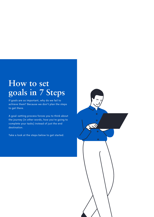### **How to set goals in 7 Steps**

If goals are so important, why do we fail to achieve them? Because we don't plan the steps to get there.

A goal-setting process forces you to think about the journey (in other words, how you're going to complete your tasks) instead of just the end destination.

Take a look at the steps below to get started.

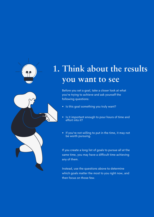

### **1. Think about the results you want to see**

Before you set a goal, take a closer look at what you're trying to achieve and ask yourself the following questions:

- Is this goal something you truly want?
- Is it important enough to pour hours of time and effort into it?
- If you're not willing to put in the time, it may not be worth pursuing.

If you create a long list of goals to pursue all at the same time, you may have a difficult time achieving any of them.

Instead, use the questions above to determine which goals matter the most to you right now, and then focus on those few.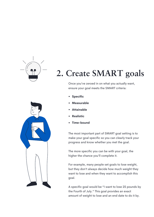

## **2. Create SMART goals**

Once you've zeroed in on what you actually want, ensure your goal meets the SMART criteria:

- **Specific**  $\bullet$
- **Measurable**
- **Attainable**
- **Realistic**
- **Time-bound**

The most important part of SMART goal setting is to make your goal specific so you can clearly track your progress and know whether you met the goal.

The more specific you can be with your goal, the higher the chance you'll complete it.

For example, many people set goals to lose weight, but they don't always decide how much weight they want to lose and when they want to accomplish this goal.

A specific goal would be "I want to lose 25 pounds by the Fourth of July." This goal provides an exact amount of weight to lose and an end date to do it by.

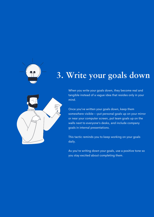

### **3. Write your goals down**



When you write your goals down, they become real and tangible instead of a vague idea that resides only in your mind.

Once you've written your goals down, keep them somewhere visible––put personal goals up on your mirror or near your computer screen, put team goals up on the walls next to everyone's desks, and include company goals in internal presentations.

This tactic reminds you to keep working on your goals daily.

As you're writing down your goals, use a positive tone so you stay excited about completing them.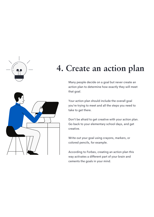

### **4. Create an action plan**

Many people decide on a goal but never create an action plan to determine how exactly they will meet that goal.

Your action plan should include the overall goal you're trying to meet and all the steps you need to take to get there.

Don't be afraid to get creative with your action plan. Go back to your elementary school days, and get creative.

Write out your goal using crayons, markers, or colored pencils, for example.

According to Forbes, creating an action plan this way activates a different part of your brain and cements the goals in your mind.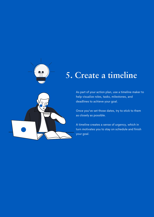

### **5. Create a timeline**



Once you've set those dates, try to stick to them as closely as possible.

A timeline creates a sense of urgency, which in turn motivates you to stay on schedule and finish your goal.

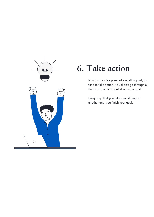

### **6. Take action**

Now that you've planned everything out, it's time to take action. You didn't go through all that work just to forget about your goal.

Every step that you take should lead to another until you finish your goal.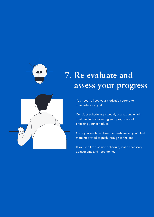

### **7. Re-evaluate and assess your progress**



Consider scheduling a weekly evaluation, which could include measuring your progress and checking your schedule.

Once you see how close the finish line is, you'll feel more motivated to push through to the end.

If you're a little behind schedule, make necessary adjustments and keep going.

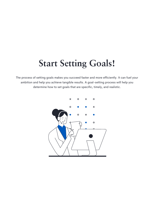### **Start Setting Goals!**

The process of setting goals makes you succeed faster and more efficiently. It can fuel your ambition and help you achieve tangible results. A goal-setting process will help you determine how to set goals that are specific, timely, and realistic.